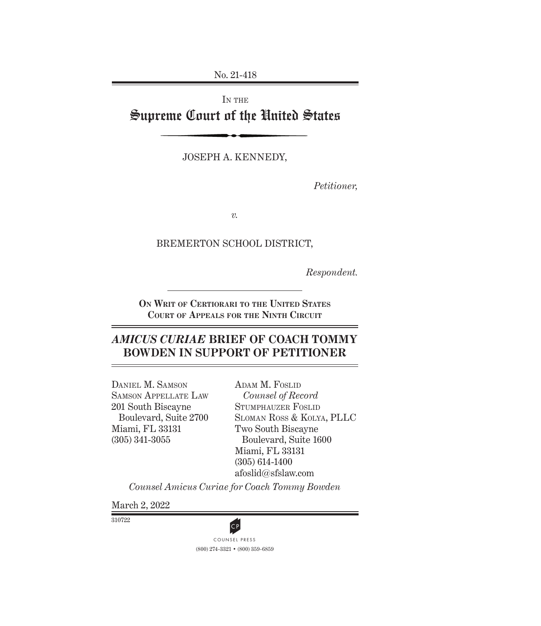No. 21-418

# IN THE Supreme Court of the United States

Joseph A. Kennedy,

*Petitioner,*

*v.*

BREMERTON SCHOOL DISTRICT,

*Respondent.*

**On Writ of Certiorari to the United States Court of Appeals for the Ninth Circuit**

# *AMICUS CURIAE* **BRIEF OF COACH TOMMY BOWDEN IN SUPPORT OF PETITIONER**

Daniel M. Samson Samson Appellate Law 201 South Biscayne Boulevard, Suite 2700 Miami, FL 33131 (305) 341-3055

ADAM M. FOSLID *Counsel of Record* Stumphauzer Foslid Sloman Ross & Kolya, PLLC Two South Biscayne Boulevard, Suite 1600 Miami, FL 33131 (305) 614-1400 afoslid@sfslaw.com

*Counsel Amicus Curiae for Coach Tommy Bowden*

March 2, 2022

310722



(800) 274-3321 • (800) 359-6859 **CP**<br>COUNSEL PRESS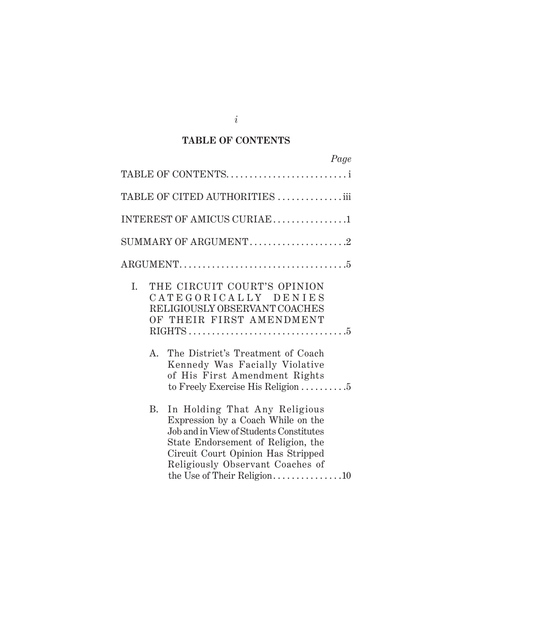## **TABLE OF CONTENTS**

| Page                                                                                                                                                                                                                                                                               |  |
|------------------------------------------------------------------------------------------------------------------------------------------------------------------------------------------------------------------------------------------------------------------------------------|--|
| TABLE OF CONTENTS                                                                                                                                                                                                                                                                  |  |
| TABLE OF CITED AUTHORITIES $\ldots\ldots\ldots\ldots\ldots$                                                                                                                                                                                                                        |  |
| INTEREST OF AMICUS CURIAE1                                                                                                                                                                                                                                                         |  |
| SUMMARY OF ARGUMENT2                                                                                                                                                                                                                                                               |  |
|                                                                                                                                                                                                                                                                                    |  |
| THE CIRCUIT COURT'S OPINION<br>L.<br>CATEGORICALLY DENIES<br>RELIGIOUSLY OBSERVANT COACHES<br>OF THEIR FIRST AMENDMENT<br>The District's Treatment of Coach<br>$A_{\cdot}$<br>Kennedy Was Facially Violative<br>of His First Amendment Rights<br>to Freely Exercise His Religion 5 |  |
| In Holding That Any Religious<br>B.<br>Expression by a Coach While on the<br>Job and in View of Students Constitutes<br>State Endorsement of Religion, the<br>Circuit Court Opinion Has Stripped<br>Religiously Observant Coaches of<br>the Use of Their Religion10                |  |

*i*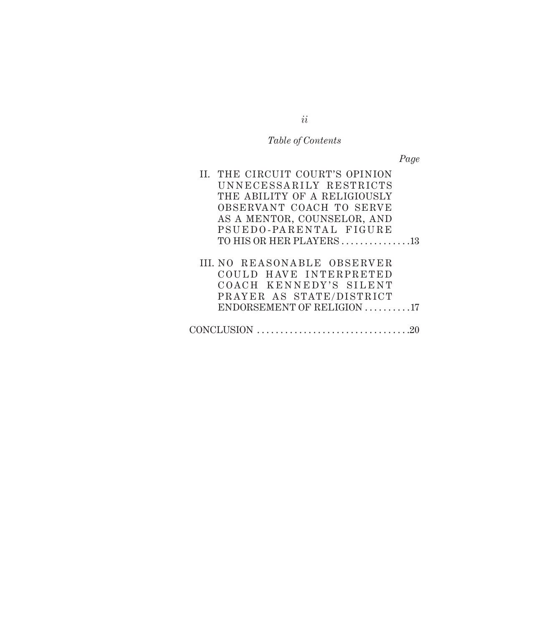# *Table of Contents*

*Page*

| II. THE CIRCUIT COURT'S OPINION    |  |
|------------------------------------|--|
| UNNECESSARILY RESTRICTS            |  |
| THE ABILITY OF A RELIGIOUSLY       |  |
| OBSERVANT COACH TO SERVE           |  |
| AS A MENTOR, COUNSELOR, AND        |  |
| PSUEDO-PARENTAL FIGURE             |  |
| TO HIS OR HER PLAYERS13            |  |
|                                    |  |
| <b>III. NO REASONABLE OBSERVER</b> |  |
| COULD HAVE INTERPRETED             |  |
| COACH KENNEDY'S SILENT             |  |
| PRAYER AS STATE/DISTRICT           |  |
| ENDORSEMENT OF RELIGION 17         |  |
|                                    |  |
| CONCLUSION                         |  |

*ii*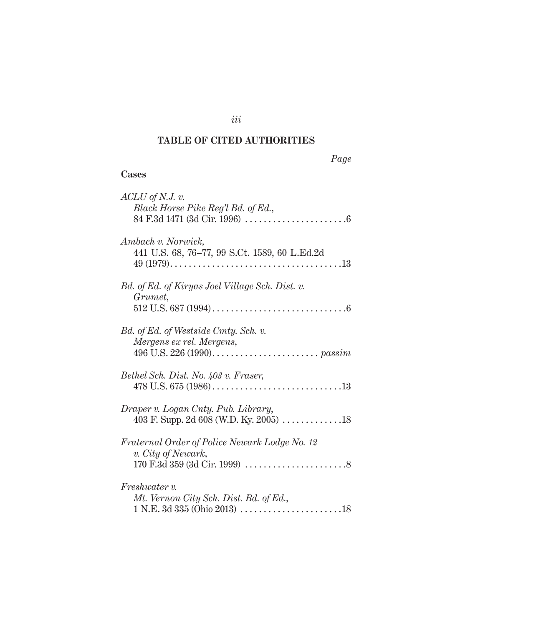# **TABLE OF CITED AUTHORITIES**

## **Cases**

| $ACLU$ of N.J. v.                                                              |
|--------------------------------------------------------------------------------|
| Black Horse Pike Reg'l Bd. of Ed.,                                             |
|                                                                                |
| Ambach v. Norwick,<br>441 U.S. 68, 76-77, 99 S.Ct. 1589, 60 L.Ed.2d            |
|                                                                                |
| Bd. of Ed. of Kiryas Joel Village Sch. Dist. v.<br>Grumet,                     |
|                                                                                |
| Bd. of Ed. of Westside Cmty. Sch. v.                                           |
| Mergens ex rel. Mergens,                                                       |
| 496 U.S. 226 (1990). $\ldots \ldots \ldots \ldots \ldots \ldots \ldots$ passim |
|                                                                                |
| Bethel Sch. Dist. No. 403 v. Fraser,                                           |
|                                                                                |
|                                                                                |
| Draper v. Logan Cnty. Pub. Library,                                            |
|                                                                                |
| Fraternal Order of Police Newark Lodge No. 12                                  |
| v. City of Newark,                                                             |
|                                                                                |
| <i>Freshwater v.</i>                                                           |
| Mt. Vernon City Sch. Dist. Bd. of Ed.,                                         |
| $1 N.E. 3d 335 (Ohio 2013) \ldots \ldots \ldots \ldots \ldots \ldots 18$       |

*iii*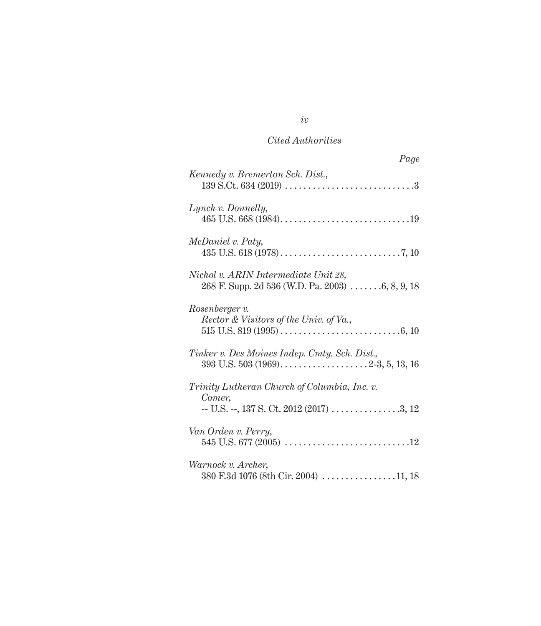# *Cited Authorities*

| Page                                                                                                    |
|---------------------------------------------------------------------------------------------------------|
| Kennedy v. Bremerton Sch. Dist.,                                                                        |
| Lynch v. Donnelly,                                                                                      |
| McDaniel v. Paty,                                                                                       |
| Nichol v. ARIN Intermediate Unit 28,<br>268 F. Supp. 2d 536 (W.D. Pa. 2003) $\ldots \ldots 6, 8, 9, 18$ |
| Rosenberger v.<br>Rector & Visitors of the Univ. of Va.,                                                |
| Tinker v. Des Moines Indep. Cmty. Sch. Dist.,                                                           |
| Trinity Lutheran Church of Columbia, Inc. v.<br>Comer,                                                  |
| Van Orden v. Perry,                                                                                     |
| Warnock v. Archer,<br>380 F.3d 1076 (8th Cir. 2004) 11, 18                                              |

*iv*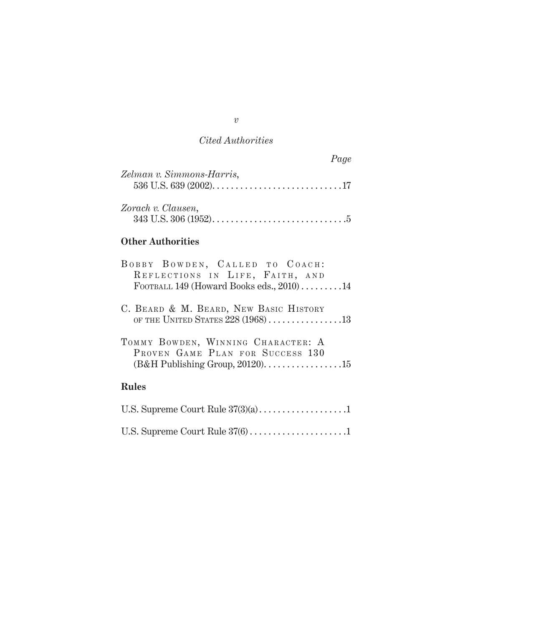# *Cited Authorities*

|                                |  | Page |
|--------------------------------|--|------|
| Zelman v. Simmons-Harris,      |  |      |
| Zorach v. Clausen,             |  |      |
| <b>Other Authorities</b>       |  |      |
| BOBBY BOWDEN, CALLED TO COACH: |  |      |

| BOBBY BOWDEN, CALLED TO COACH:                                                |
|-------------------------------------------------------------------------------|
| REFLECTIONS IN LIFE, FAITH, AND                                               |
| FOOTBALL 149 (Howard Books eds., 2010)14                                      |
| C. BEARD & M. BEARD, NEW BASIC HISTORY<br>OF THE UNITED STATES $228(1968)$ 13 |
| TOMMY BOWDEN, WINNING CHARACTER: A<br>PROVEN GAME PLAN FOR SUCCESS 130        |
| <b>Rules</b>                                                                  |
|                                                                               |
|                                                                               |

*v*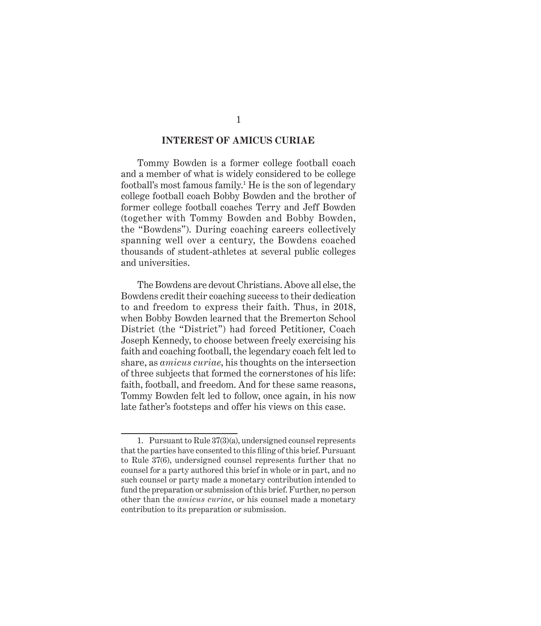#### **INTEREST OF AMICUS CURIAE**

Tommy Bowden is a former college football coach and a member of what is widely considered to be college football's most famous family.<sup>1</sup> He is the son of legendary college football coach Bobby Bowden and the brother of former college football coaches Terry and Jeff Bowden (together with Tommy Bowden and Bobby Bowden, the "Bowdens"). During coaching careers collectively spanning well over a century, the Bowdens coached thousands of student-athletes at several public colleges and universities.

The Bowdens are devout Christians. Above all else, the Bowdens credit their coaching success to their dedication to and freedom to express their faith. Thus, in 2018, when Bobby Bowden learned that the Bremerton School District (the "District") had forced Petitioner, Coach Joseph Kennedy, to choose between freely exercising his faith and coaching football, the legendary coach felt led to share, as *amicus curiae*, his thoughts on the intersection of three subjects that formed the cornerstones of his life: faith, football, and freedom. And for these same reasons, Tommy Bowden felt led to follow, once again, in his now late father's footsteps and offer his views on this case.

<sup>1.</sup> Pursuant to Rule 37(3)(a), undersigned counsel represents that the parties have consented to this filing of this brief. Pursuant to Rule 37(6), undersigned counsel represents further that no counsel for a party authored this brief in whole or in part, and no such counsel or party made a monetary contribution intended to fund the preparation or submission of this brief. Further, no person other than the *amicus curiae*, or his counsel made a monetary contribution to its preparation or submission.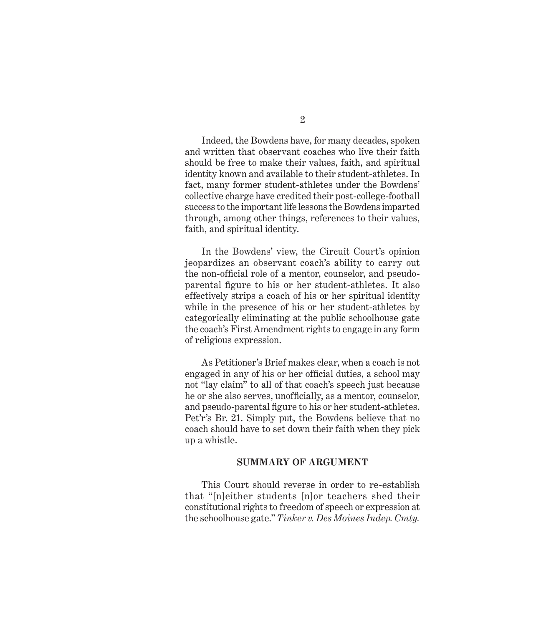Indeed, the Bowdens have, for many decades, spoken and written that observant coaches who live their faith should be free to make their values, faith, and spiritual identity known and available to their student-athletes. In fact, many former student-athletes under the Bowdens' collective charge have credited their post-college-football success to the important life lessons the Bowdens imparted through, among other things, references to their values, faith, and spiritual identity.

In the Bowdens' view, the Circuit Court's opinion jeopardizes an observant coach's ability to carry out the non-official role of a mentor, counselor, and pseudoparental figure to his or her student-athletes. It also effectively strips a coach of his or her spiritual identity while in the presence of his or her student-athletes by categorically eliminating at the public schoolhouse gate the coach's First Amendment rights to engage in any form of religious expression.

As Petitioner's Brief makes clear, when a coach is not engaged in any of his or her official duties, a school may not "lay claim" to all of that coach's speech just because he or she also serves, unofficially, as a mentor, counselor, and pseudo-parental figure to his or her student-athletes. Pet'r's Br. 21. Simply put, the Bowdens believe that no coach should have to set down their faith when they pick up a whistle.

#### **SUMMARY OF ARGUMENT**

This Court should reverse in order to re-establish that "[n]either students [n]or teachers shed their constitutional rights to freedom of speech or expression at the schoolhouse gate." *Tinker v. Des Moines Indep. Cmty.*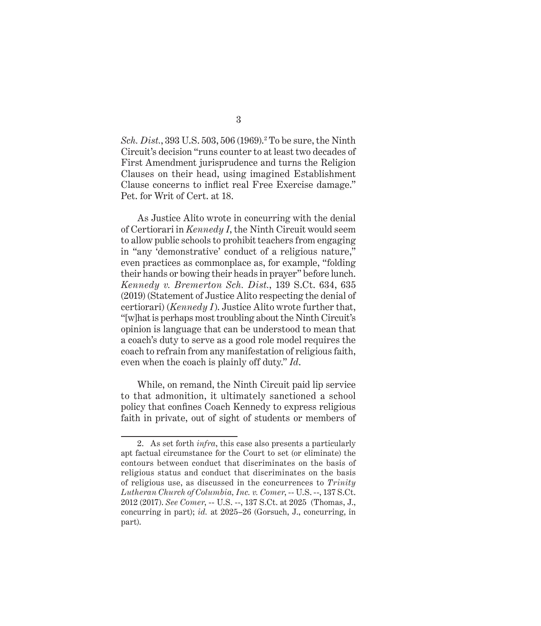*Sch. Dist.*, 393 U.S. 503, 506 (1969).<sup>2</sup> To be sure, the Ninth Circuit's decision "runs counter to at least two decades of First Amendment jurisprudence and turns the Religion Clauses on their head, using imagined Establishment Clause concerns to inflict real Free Exercise damage." Pet. for Writ of Cert. at 18.

As Justice Alito wrote in concurring with the denial of Certiorari in *Kennedy I*, the Ninth Circuit would seem to allow public schools to prohibit teachers from engaging in "any 'demonstrative' conduct of a religious nature," even practices as commonplace as, for example, "folding their hands or bowing their heads in prayer" before lunch. *Kennedy v. Bremerton Sch. Dist.*, 139 S.Ct. 634, 635 (2019) (Statement of Justice Alito respecting the denial of certiorari) (*Kennedy I*). Justice Alito wrote further that, "[w]hat is perhaps most troubling about the Ninth Circuit's opinion is language that can be understood to mean that a coach's duty to serve as a good role model requires the coach to refrain from any manifestation of religious faith, even when the coach is plainly off duty." *Id*.

While, on remand, the Ninth Circuit paid lip service to that admonition, it ultimately sanctioned a school policy that confines Coach Kennedy to express religious faith in private, out of sight of students or members of

<sup>2.</sup> As set forth *infra*, this case also presents a particularly apt factual circumstance for the Court to set (or eliminate) the contours between conduct that discriminates on the basis of religious status and conduct that discriminates on the basis of religious use, as discussed in the concurrences to *Trinity Lutheran Church of Columbia, Inc. v. Comer*, -- U.S. --, 137 S.Ct. 2012 (2017). *See Comer*, -- U.S. --, 137 S.Ct. at 2025 (Thomas, J., concurring in part); *id.* at 2025–26 (Gorsuch, J., concurring, in part).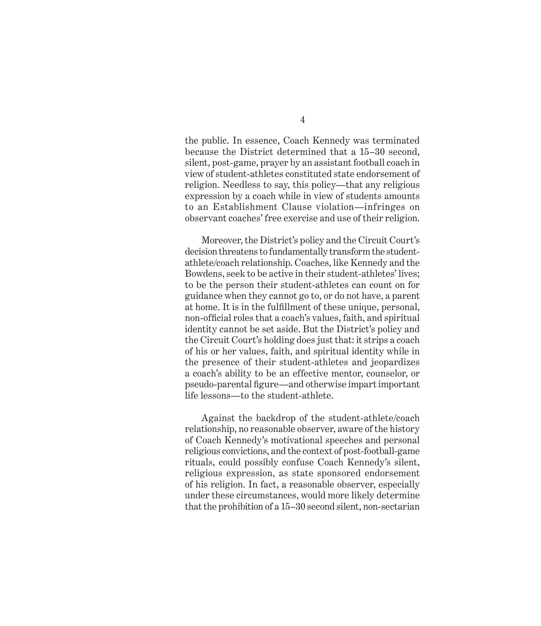the public. In essence, Coach Kennedy was terminated because the District determined that a 15–30 second, silent, post-game, prayer by an assistant football coach in view of student-athletes constituted state endorsement of religion. Needless to say, this policy—that any religious expression by a coach while in view of students amounts to an Establishment Clause violation—infringes on observant coaches' free exercise and use of their religion.

Moreover, the District's policy and the Circuit Court's decision threatens to fundamentally transform the studentathlete/coach relationship. Coaches, like Kennedy and the Bowdens, seek to be active in their student-athletes' lives; to be the person their student-athletes can count on for guidance when they cannot go to, or do not have, a parent at home. It is in the fulfillment of these unique, personal, non-official roles that a coach's values, faith, and spiritual identity cannot be set aside. But the District's policy and the Circuit Court's holding does just that: it strips a coach of his or her values, faith, and spiritual identity while in the presence of their student-athletes and jeopardizes a coach's ability to be an effective mentor, counselor, or pseudo-parental figure—and otherwise impart important life lessons—to the student-athlete.

Against the backdrop of the student-athlete/coach relationship, no reasonable observer, aware of the history of Coach Kennedy's motivational speeches and personal religious convictions, and the context of post-football-game rituals, could possibly confuse Coach Kennedy's silent, religious expression, as state sponsored endorsement of his religion. In fact, a reasonable observer, especially under these circumstances, would more likely determine that the prohibition of a 15–30 second silent, non-sectarian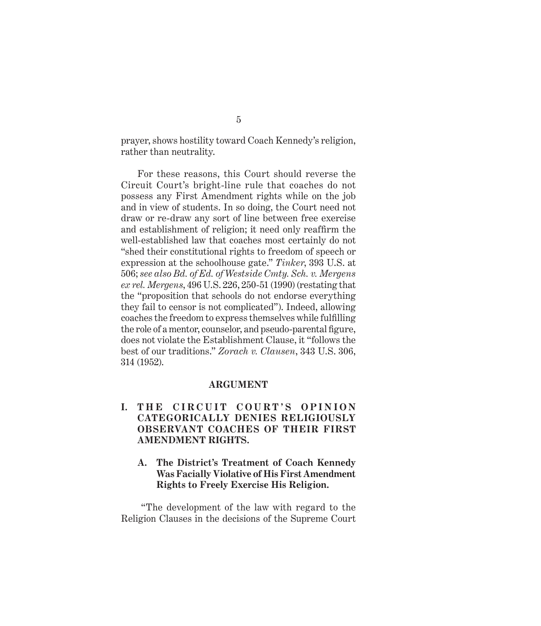prayer, shows hostility toward Coach Kennedy's religion, rather than neutrality.

For these reasons, this Court should reverse the Circuit Court's bright-line rule that coaches do not possess any First Amendment rights while on the job and in view of students. In so doing, the Court need not draw or re-draw any sort of line between free exercise and establishment of religion; it need only reaffirm the well-established law that coaches most certainly do not "shed their constitutional rights to freedom of speech or expression at the schoolhouse gate." *Tinker*, 393 U.S. at 506; *see also Bd. of Ed. of Westside Cmty. Sch. v. Mergens ex rel. Mergens*, 496 U.S. 226, 250-51 (1990) (restating that the "proposition that schools do not endorse everything they fail to censor is not complicated"). Indeed, allowing coaches the freedom to express themselves while fulfilling the role of a mentor, counselor, and pseudo-parental figure, does not violate the Establishment Clause, it "follows the best of our traditions." *Zorach v. Clausen*, 343 U.S. 306, 314 (1952).

#### **ARGUMENT**

## **I. THE CIRCUIT COURT'S OPINION CATEGORICALLY DENIES RELIGIOUSLY OBSERVANT COACHES OF THEIR FIRST AMENDMENT RIGHTS.**

**A. The District's Treatment of Coach Kennedy Was Facially Violative of His First Amendment Rights to Freely Exercise His Religion.**

 "The development of the law with regard to the Religion Clauses in the decisions of the Supreme Court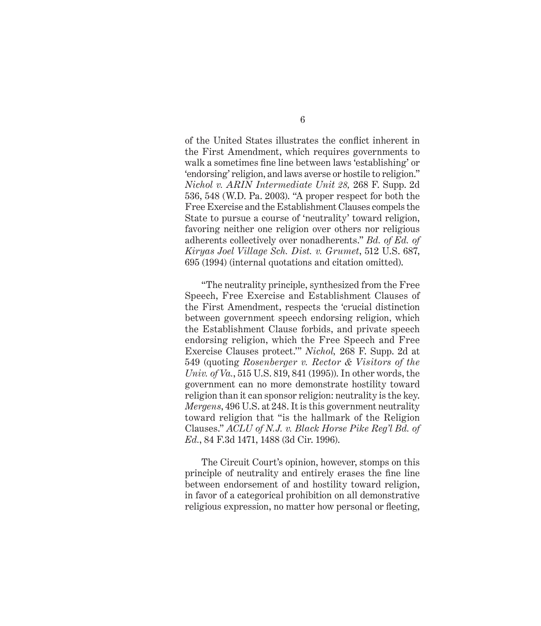of the United States illustrates the conflict inherent in the First Amendment, which requires governments to walk a sometimes fine line between laws 'establishing' or 'endorsing' religion, and laws averse or hostile to religion." *Nichol v. ARIN Intermediate Unit 28,* 268 F. Supp. 2d 536, 548 (W.D. Pa. 2003). "A proper respect for both the Free Exercise and the Establishment Clauses compels the State to pursue a course of 'neutrality' toward religion, favoring neither one religion over others nor religious adherents collectively over nonadherents." *Bd. of Ed. of Kiryas Joel Village Sch. Dist. v. Grumet*, 512 U.S. 687, 695 (1994) (internal quotations and citation omitted).

"The neutrality principle, synthesized from the Free Speech, Free Exercise and Establishment Clauses of the First Amendment, respects the 'crucial distinction between government speech endorsing religion, which the Establishment Clause forbids, and private speech endorsing religion, which the Free Speech and Free Exercise Clauses protect.'" *Nichol,* 268 F. Supp. 2d at 549 (quoting *Rosenberger v. Rector & Visitors of the Univ. of Va.*, 515 U.S. 819, 841 (1995)). In other words, the government can no more demonstrate hostility toward religion than it can sponsor religion: neutrality is the key. *Mergens*, 496 U.S. at 248. It is this government neutrality toward religion that "is the hallmark of the Religion Clauses." *ACLU of N.J. v. Black Horse Pike Reg'l Bd. of Ed.*, 84 F.3d 1471, 1488 (3d Cir. 1996).

The Circuit Court's opinion, however, stomps on this principle of neutrality and entirely erases the fine line between endorsement of and hostility toward religion, in favor of a categorical prohibition on all demonstrative religious expression, no matter how personal or fleeting,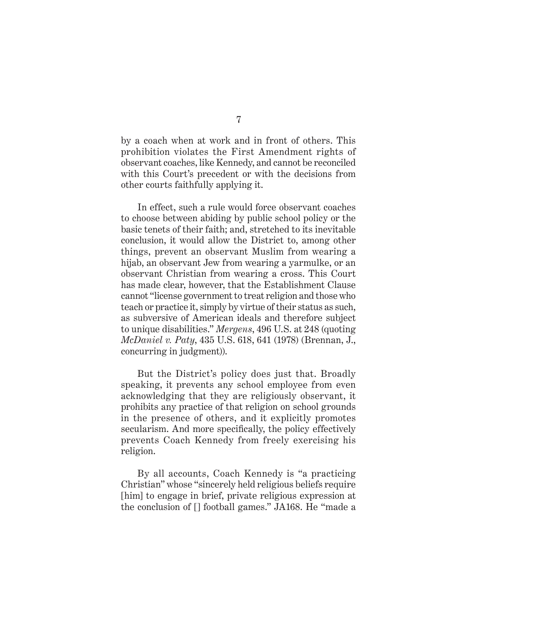by a coach when at work and in front of others. This prohibition violates the First Amendment rights of observant coaches, like Kennedy, and cannot be reconciled with this Court's precedent or with the decisions from other courts faithfully applying it.

In effect, such a rule would force observant coaches to choose between abiding by public school policy or the basic tenets of their faith; and, stretched to its inevitable conclusion, it would allow the District to, among other things, prevent an observant Muslim from wearing a hijab, an observant Jew from wearing a yarmulke, or an observant Christian from wearing a cross. This Court has made clear, however, that the Establishment Clause cannot "license government to treat religion and those who teach or practice it, simply by virtue of their status as such, as subversive of American ideals and therefore subject to unique disabilities." *Mergens*, 496 U.S. at 248 (quoting *McDaniel v. Paty*, 435 U.S. 618, 641 (1978) (Brennan, J., concurring in judgment)).

But the District's policy does just that. Broadly speaking, it prevents any school employee from even acknowledging that they are religiously observant, it prohibits any practice of that religion on school grounds in the presence of others, and it explicitly promotes secularism. And more specifically, the policy effectively prevents Coach Kennedy from freely exercising his religion.

By all accounts, Coach Kennedy is "a practicing Christian" whose "sincerely held religious beliefs require [him] to engage in brief, private religious expression at the conclusion of [] football games." JA168. He "made a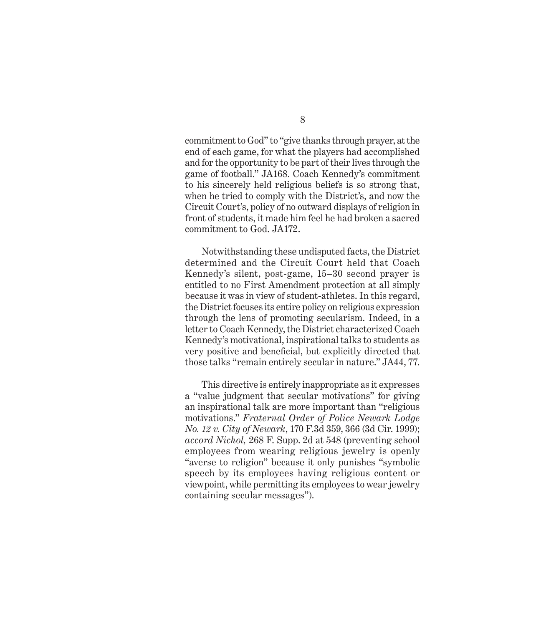commitment to God" to "give thanks through prayer, at the end of each game, for what the players had accomplished and for the opportunity to be part of their lives through the game of football." JA168. Coach Kennedy's commitment to his sincerely held religious beliefs is so strong that, when he tried to comply with the District's, and now the Circuit Court's, policy of no outward displays of religion in front of students, it made him feel he had broken a sacred commitment to God. JA172.

Notwithstanding these undisputed facts, the District determined and the Circuit Court held that Coach Kennedy's silent, post-game, 15–30 second prayer is entitled to no First Amendment protection at all simply because it was in view of student-athletes. In this regard, the District focuses its entire policy on religious expression through the lens of promoting secularism. Indeed, in a letter to Coach Kennedy, the District characterized Coach Kennedy's motivational, inspirational talks to students as very positive and beneficial, but explicitly directed that those talks "remain entirely secular in nature." JA44, 77.

This directive is entirely inappropriate as it expresses a "value judgment that secular motivations" for giving an inspirational talk are more important than "religious motivations." *Fraternal Order of Police Newark Lodge No. 12 v. City of Newark*, 170 F.3d 359, 366 (3d Cir. 1999); *accord Nichol,* 268 F. Supp. 2d at 548 (preventing school employees from wearing religious jewelry is openly "averse to religion" because it only punishes "symbolic speech by its employees having religious content or viewpoint, while permitting its employees to wear jewelry containing secular messages").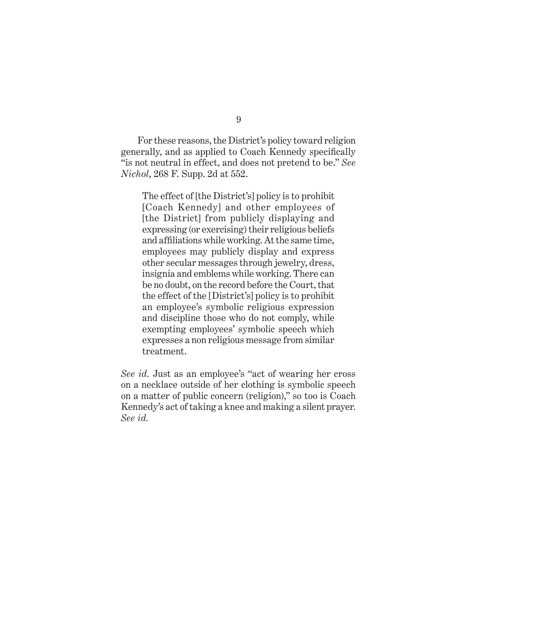For these reasons, the District's policy toward religion generally, and as applied to Coach Kennedy specifically "is not neutral in effect, and does not pretend to be." *See Nichol*, 268 F. Supp. 2d at 552.

The effect of [the District's] policy is to prohibit [Coach Kennedy] and other employees of [the District] from publicly displaying and expressing (or exercising) their religious beliefs and affiliations while working. At the same time, employees may publicly display and express other secular messages through jewelry, dress, insignia and emblems while working. There can be no doubt, on the record before the Court, that the effect of the [District's] policy is to prohibit an employee's symbolic religious expression and discipline those who do not comply, while exempting employees' symbolic speech which expresses a non religious message from similar treatment.

*See id.* Just as an employee's "act of wearing her cross on a necklace outside of her clothing is symbolic speech on a matter of public concern (religion)," so too is Coach Kennedy's act of taking a knee and making a silent prayer. *See id.*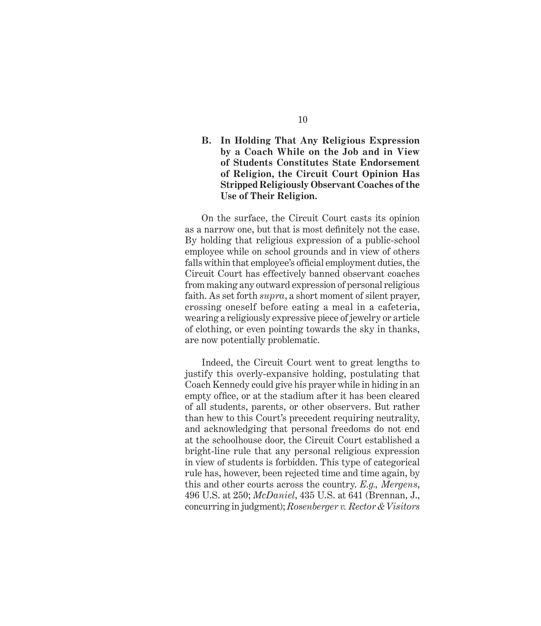## **B. In Holding That Any Religious Expression by a Coach While on the Job and in View of Students Constitutes State Endorsement of Religion, the Circuit Court Opinion Has Stripped Religiously Observant Coaches of the Use of Their Religion.**

On the surface, the Circuit Court casts its opinion as a narrow one, but that is most definitely not the case. By holding that religious expression of a public-school employee while on school grounds and in view of others falls within that employee's official employment duties, the Circuit Court has effectively banned observant coaches from making any outward expression of personal religious faith. As set forth *supra*, a short moment of silent prayer, crossing oneself before eating a meal in a cafeteria, wearing a religiously expressive piece of jewelry or article of clothing, or even pointing towards the sky in thanks, are now potentially problematic.

Indeed, the Circuit Court went to great lengths to justify this overly-expansive holding, postulating that Coach Kennedy could give his prayer while in hiding in an empty office, or at the stadium after it has been cleared of all students, parents, or other observers. But rather than hew to this Court's precedent requiring neutrality, and acknowledging that personal freedoms do not end at the schoolhouse door, the Circuit Court established a bright-line rule that any personal religious expression in view of students is forbidden. This type of categorical rule has, however, been rejected time and time again, by this and other courts across the country. *E.g., Mergens*, 496 U.S. at 250; *McDaniel*, 435 U.S. at 641 (Brennan, J., concurring in judgment); *Rosenberger v. Rector & Visitors*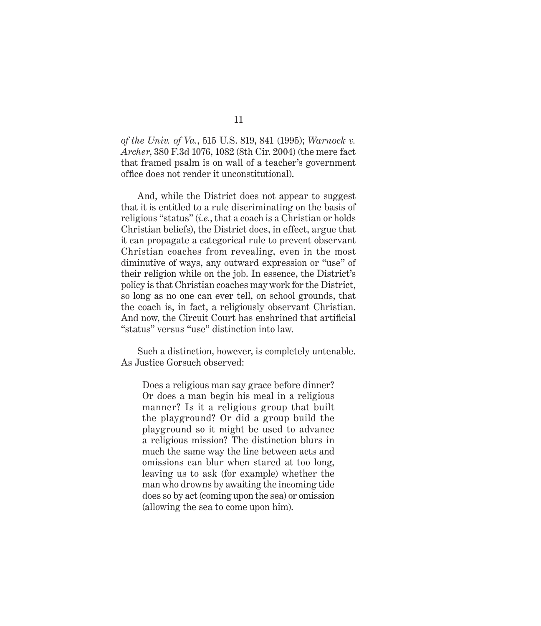*of the Univ. of Va.*, 515 U.S. 819, 841 (1995); *Warnock v. Archer*, 380 F.3d 1076, 1082 (8th Cir. 2004) (the mere fact that framed psalm is on wall of a teacher's government office does not render it unconstitutional).

And, while the District does not appear to suggest that it is entitled to a rule discriminating on the basis of religious "status" (*i.e.*, that a coach is a Christian or holds Christian beliefs), the District does, in effect, argue that it can propagate a categorical rule to prevent observant Christian coaches from revealing, even in the most diminutive of ways, any outward expression or "use" of their religion while on the job. In essence, the District's policy is that Christian coaches may work for the District, so long as no one can ever tell, on school grounds, that the coach is, in fact, a religiously observant Christian. And now, the Circuit Court has enshrined that artificial "status" versus "use" distinction into law.

Such a distinction, however, is completely untenable. As Justice Gorsuch observed:

Does a religious man say grace before dinner? Or does a man begin his meal in a religious manner? Is it a religious group that built the playground? Or did a group build the playground so it might be used to advance a religious mission? The distinction blurs in much the same way the line between acts and omissions can blur when stared at too long, leaving us to ask (for example) whether the man who drowns by awaiting the incoming tide does so by act (coming upon the sea) or omission (allowing the sea to come upon him).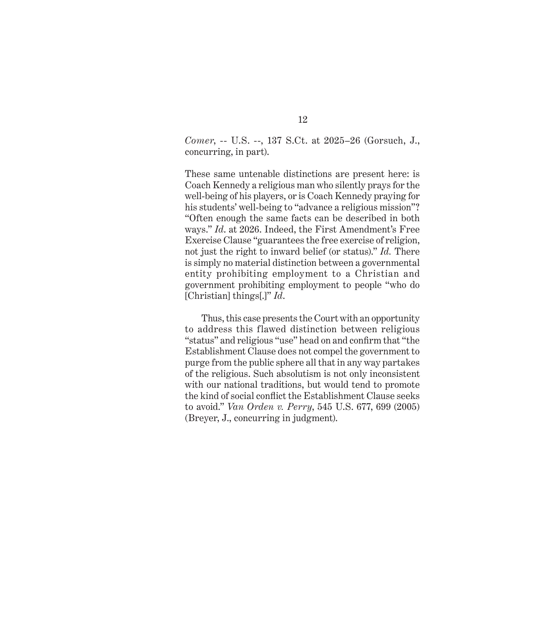*Comer*, -- U.S. --, 137 S.Ct. at 2025–26 (Gorsuch, J., concurring, in part).

These same untenable distinctions are present here: is Coach Kennedy a religious man who silently prays for the well-being of his players, or is Coach Kennedy praying for his students' well-being to "advance a religious mission"? "Often enough the same facts can be described in both ways." *Id*. at 2026. Indeed, the First Amendment's Free Exercise Clause "guarantees the free exercise of religion, not just the right to inward belief (or status)." *Id.* There is simply no material distinction between a governmental entity prohibiting employment to a Christian and government prohibiting employment to people "who do [Christian] things[.]" *Id*.

Thus, this case presents the Court with an opportunity to address this flawed distinction between religious "status" and religious "use" head on and confirm that "the Establishment Clause does not compel the government to purge from the public sphere all that in any way partakes of the religious. Such absolutism is not only inconsistent with our national traditions, but would tend to promote the kind of social conflict the Establishment Clause seeks to avoid." *Van Orden v. Perry*, 545 U.S. 677, 699 (2005) (Breyer, J., concurring in judgment).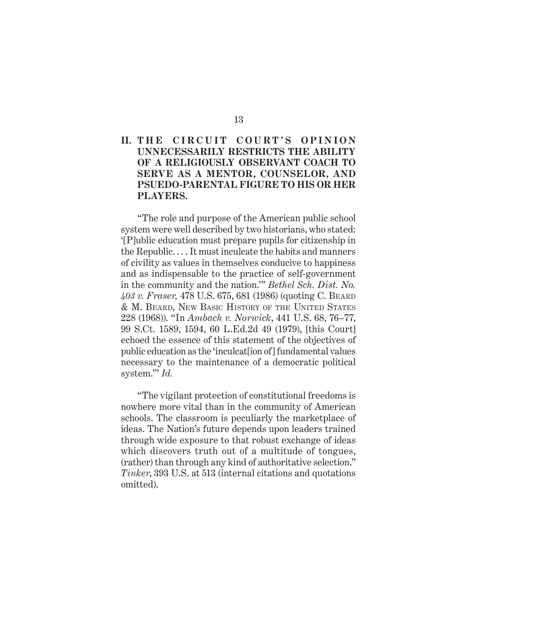## II. THE CIRCUIT COURT'S OPINION **UNNECESSARILY RESTRICTS THE ABILITY OF A RELIGIOUSLY OBSERVANT COACH TO SERVE AS A MENTOR, COUNSELOR, AND PSUEDO-PARENTAL FIGURE TO HIS OR HER PLAYERS.**

"The role and purpose of the American public school system were well described by two historians, who stated: '[P]ublic education must prepare pupils for citizenship in the Republic. . . . It must inculcate the habits and manners of civility as values in themselves conducive to happiness and as indispensable to the practice of self-government in the community and the nation.'" *Bethel Sch. Dist. No. 403 v. Fraser,* 478 U.S. 675, 681 (1986) (quoting C. Beard & M. Beard, New Basic History of the United States 228 (1968)). "In *Ambach v. Norwick*, 441 U.S. 68, 76–77, 99 S.Ct. 1589, 1594, 60 L.Ed.2d 49 (1979), [this Court] echoed the essence of this statement of the objectives of public education as the 'inculcat[ion of] fundamental values necessary to the maintenance of a democratic political system.'" *Id.* 

"The vigilant protection of constitutional freedoms is nowhere more vital than in the community of American schools. The classroom is peculiarly the marketplace of ideas. The Nation's future depends upon leaders trained through wide exposure to that robust exchange of ideas which discovers truth out of a multitude of tongues, (rather) than through any kind of authoritative selection." *Tinker*, 393 U.S. at 513 (internal citations and quotations omitted).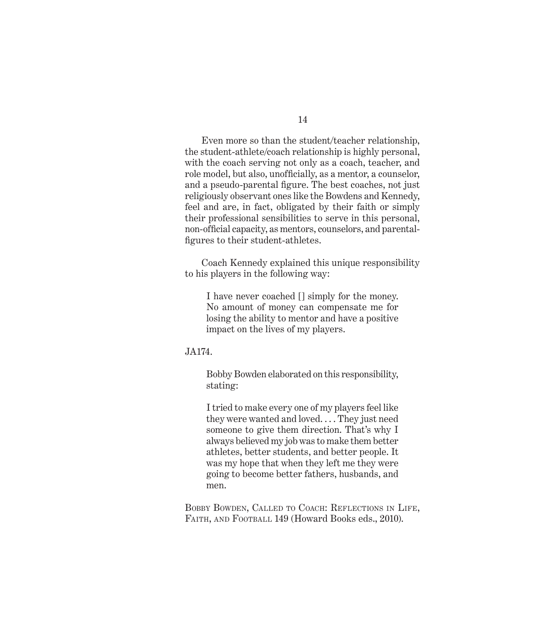Even more so than the student/teacher relationship, the student-athlete/coach relationship is highly personal, with the coach serving not only as a coach, teacher, and role model, but also, unofficially, as a mentor, a counselor, and a pseudo-parental figure. The best coaches, not just religiously observant ones like the Bowdens and Kennedy, feel and are, in fact, obligated by their faith or simply their professional sensibilities to serve in this personal, non-official capacity, as mentors, counselors, and parentalfigures to their student-athletes.

Coach Kennedy explained this unique responsibility to his players in the following way:

I have never coached [] simply for the money. No amount of money can compensate me for losing the ability to mentor and have a positive impact on the lives of my players.

#### JA174.

Bobby Bowden elaborated on this responsibility, stating:

I tried to make every one of my players feel like they were wanted and loved. . . . They just need someone to give them direction. That's why I always believed my job was to make them better athletes, better students, and better people. It was my hope that when they left me they were going to become better fathers, husbands, and men.

BOBBY BOWDEN, CALLED TO COACH: REFLECTIONS IN LIFE, FAITH, AND FOOTBALL 149 (Howard Books eds., 2010).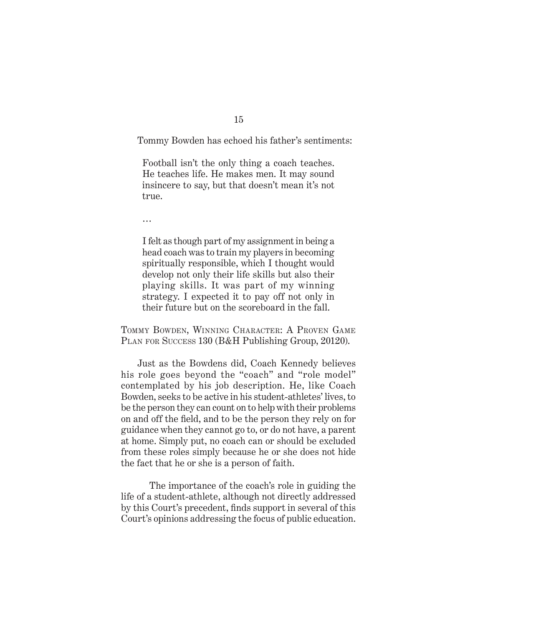Tommy Bowden has echoed his father's sentiments:

Football isn't the only thing a coach teaches. He teaches life. He makes men. It may sound insincere to say, but that doesn't mean it's not true.

…

I felt as though part of my assignment in being a head coach was to train my players in becoming spiritually responsible, which I thought would develop not only their life skills but also their playing skills. It was part of my winning strategy. I expected it to pay off not only in their future but on the scoreboard in the fall.

Tommy Bowden, Winning Character: A Proven Game PLAN FOR SUCCESS 130 (B&H Publishing Group, 20120).

Just as the Bowdens did, Coach Kennedy believes his role goes beyond the "coach" and "role model" contemplated by his job description. He, like Coach Bowden, seeks to be active in his student-athletes' lives, to be the person they can count on to help with their problems on and off the field, and to be the person they rely on for guidance when they cannot go to, or do not have, a parent at home. Simply put, no coach can or should be excluded from these roles simply because he or she does not hide the fact that he or she is a person of faith.

 The importance of the coach's role in guiding the life of a student-athlete, although not directly addressed by this Court's precedent, finds support in several of this Court's opinions addressing the focus of public education.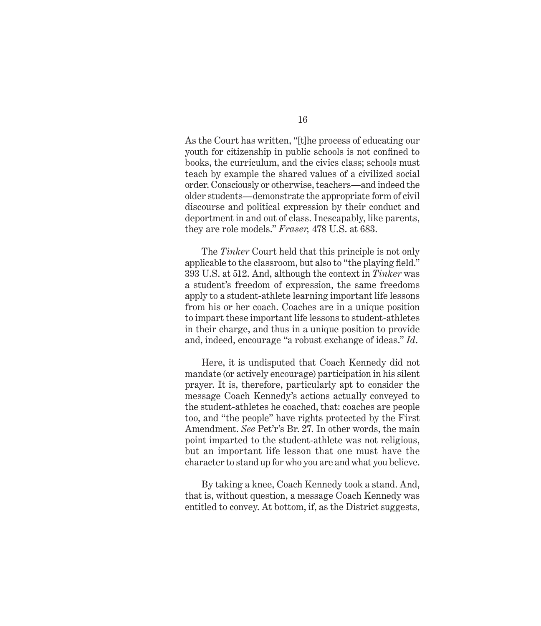As the Court has written, "[t]he process of educating our youth for citizenship in public schools is not confined to books, the curriculum, and the civics class; schools must teach by example the shared values of a civilized social order. Consciously or otherwise, teachers—and indeed the older students—demonstrate the appropriate form of civil discourse and political expression by their conduct and deportment in and out of class. Inescapably, like parents, they are role models." *Fraser,* 478 U.S. at 683.

The *Tinker* Court held that this principle is not only applicable to the classroom, but also to "the playing field." 393 U.S. at 512. And, although the context in *Tinker* was a student's freedom of expression, the same freedoms apply to a student-athlete learning important life lessons from his or her coach. Coaches are in a unique position to impart these important life lessons to student-athletes in their charge, and thus in a unique position to provide and, indeed, encourage "a robust exchange of ideas." *Id*.

Here, it is undisputed that Coach Kennedy did not mandate (or actively encourage) participation in his silent prayer. It is, therefore, particularly apt to consider the message Coach Kennedy's actions actually conveyed to the student-athletes he coached, that: coaches are people too, and "the people" have rights protected by the First Amendment. *See* Pet'r's Br. 27. In other words, the main point imparted to the student-athlete was not religious, but an important life lesson that one must have the character to stand up for who you are and what you believe.

By taking a knee, Coach Kennedy took a stand. And, that is, without question, a message Coach Kennedy was entitled to convey. At bottom, if, as the District suggests,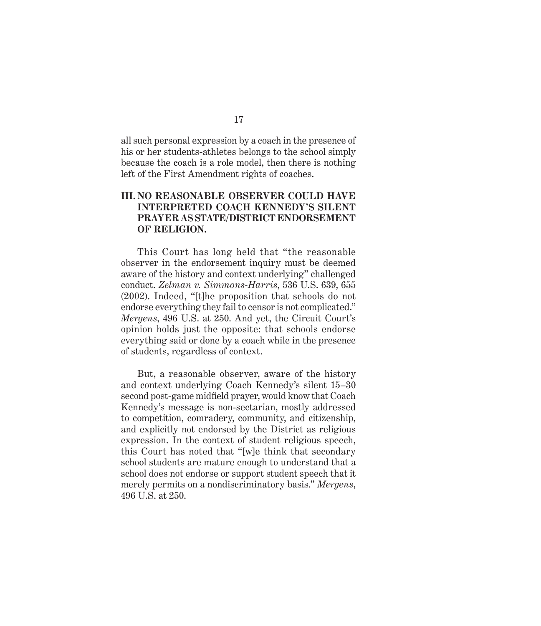all such personal expression by a coach in the presence of his or her students-athletes belongs to the school simply because the coach is a role model, then there is nothing left of the First Amendment rights of coaches.

### **III. NO REASONABLE OBSERVER COULD HAVE INTERPRETED COACH KENNEDY'S SILENT PRAYER AS STATE/DISTRICT ENDORSEMENT OF RELIGION.**

This Court has long held that "the reasonable observer in the endorsement inquiry must be deemed aware of the history and context underlying" challenged conduct. *Zelman v. Simmons-Harris*, 536 U.S. 639, 655 (2002). Indeed, "[t]he proposition that schools do not endorse everything they fail to censor is not complicated." *Mergens*, 496 U.S. at 250. And yet, the Circuit Court's opinion holds just the opposite: that schools endorse everything said or done by a coach while in the presence of students, regardless of context.

But, a reasonable observer, aware of the history and context underlying Coach Kennedy's silent 15–30 second post-game midfield prayer, would know that Coach Kennedy's message is non-sectarian, mostly addressed to competition, comradery, community, and citizenship, and explicitly not endorsed by the District as religious expression. In the context of student religious speech, this Court has noted that "[w]e think that secondary school students are mature enough to understand that a school does not endorse or support student speech that it merely permits on a nondiscriminatory basis." *Mergens*, 496 U.S. at 250.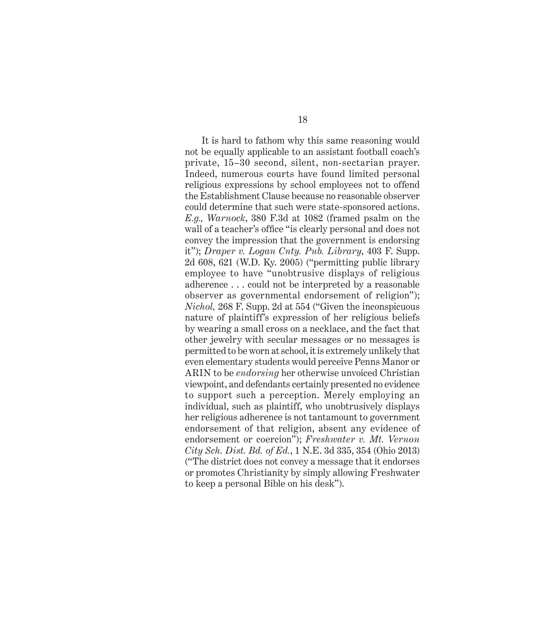It is hard to fathom why this same reasoning would not be equally applicable to an assistant football coach's private, 15–30 second, silent, non-sectarian prayer. Indeed, numerous courts have found limited personal religious expressions by school employees not to offend the Establishment Clause because no reasonable observer could determine that such were state-sponsored actions. *E.g., Warnock*, 380 F.3d at 1082 (framed psalm on the wall of a teacher's office "is clearly personal and does not convey the impression that the government is endorsing it"); *Draper v. Logan Cnty. Pub. Library*, 403 F. Supp. 2d 608, 621 (W.D. Ky. 2005) ("permitting public library employee to have "unobtrusive displays of religious adherence . . . could not be interpreted by a reasonable observer as governmental endorsement of religion"); *Nichol,* 268 F. Supp. 2d at 554 ("Given the inconspicuous nature of plaintiff's expression of her religious beliefs by wearing a small cross on a necklace, and the fact that other jewelry with secular messages or no messages is permitted to be worn at school, it is extremely unlikely that even elementary students would perceive Penns Manor or ARIN to be *endorsing* her otherwise unvoiced Christian viewpoint, and defendants certainly presented no evidence to support such a perception. Merely employing an individual, such as plaintiff, who unobtrusively displays her religious adherence is not tantamount to government endorsement of that religion, absent any evidence of endorsement or coercion"); *Freshwater v. Mt. Vernon City Sch. Dist. Bd. of Ed.*, 1 N.E. 3d 335, 354 (Ohio 2013) ("The district does not convey a message that it endorses or promotes Christianity by simply allowing Freshwater to keep a personal Bible on his desk").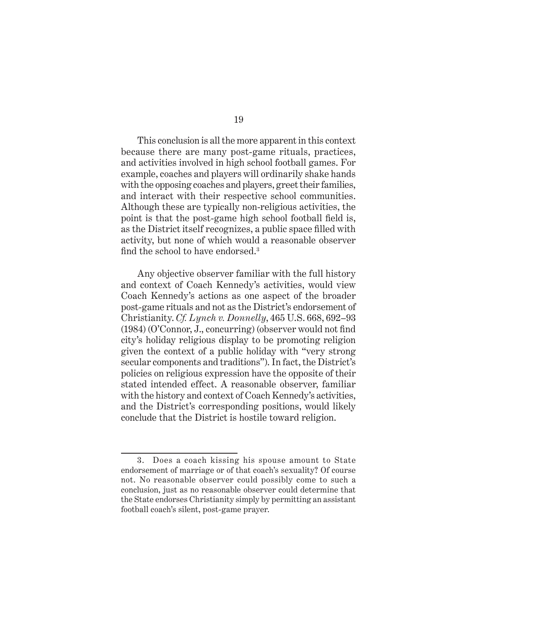This conclusion is all the more apparent in this context because there are many post-game rituals, practices, and activities involved in high school football games. For example, coaches and players will ordinarily shake hands with the opposing coaches and players, greet their families, and interact with their respective school communities. Although these are typically non-religious activities, the point is that the post-game high school football field is, as the District itself recognizes, a public space filled with activity, but none of which would a reasonable observer find the school to have endorsed.<sup>3</sup>

Any objective observer familiar with the full history and context of Coach Kennedy's activities, would view Coach Kennedy's actions as one aspect of the broader post-game rituals and not as the District's endorsement of Christianity. *Cf. Lynch v. Donnelly*, 465 U.S. 668, 692–93 (1984) (O'Connor, J., concurring) (observer would not find city's holiday religious display to be promoting religion given the context of a public holiday with "very strong secular components and traditions"). In fact, the District's policies on religious expression have the opposite of their stated intended effect. A reasonable observer, familiar with the history and context of Coach Kennedy's activities, and the District's corresponding positions, would likely conclude that the District is hostile toward religion.

<sup>3.</sup> Does a coach kissing his spouse amount to State endorsement of marriage or of that coach's sexuality? Of course not. No reasonable observer could possibly come to such a conclusion, just as no reasonable observer could determine that the State endorses Christianity simply by permitting an assistant football coach's silent, post-game prayer.